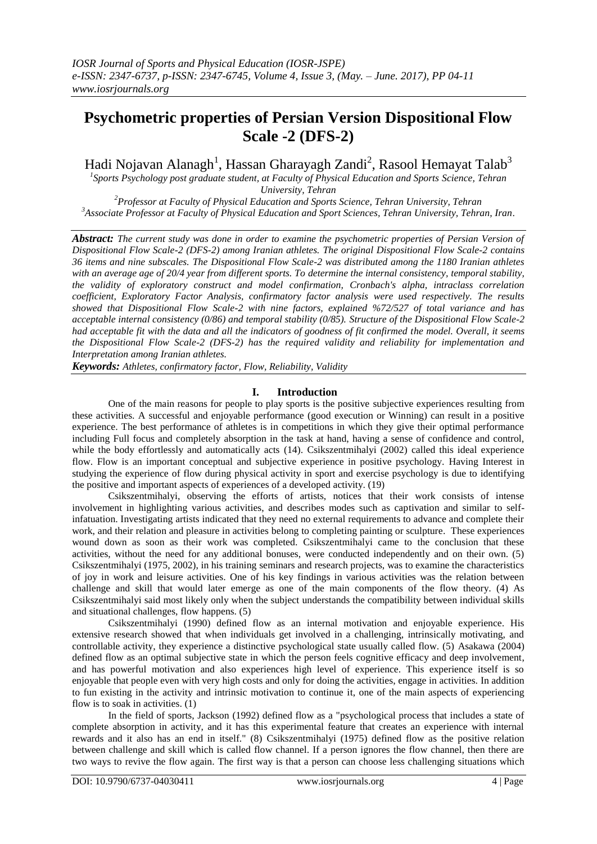# **Psychometric properties of Persian Version Dispositional Flow Scale -2 (DFS-2)**

Hadi Nojavan Alanagh<sup>1</sup>, Hassan Gharayagh Zandi<sup>2</sup>, Rasool Hemayat Talab<sup>3</sup>

*1 Sports Psychology post graduate student, at Faculty of Physical Education and Sports Science, Tehran University, Tehran*

*<sup>2</sup>Professor at Faculty of Physical Education and Sports Science, Tehran University, Tehran <sup>3</sup>Associate Professor at Faculty of Physical Education and Sport Sciences, Tehran University, Tehran, Iran*.

*Abstract: The current study was done in order to examine the psychometric properties of Persian Version of Dispositional Flow Scale-2 (DFS-2) among Iranian athletes. The original Dispositional Flow Scale-2 contains 36 items and nine subscales. The Dispositional Flow Scale-2 was distributed among the 1180 Iranian athletes with an average age of 20/4 year from different sports. To determine the internal consistency, temporal stability, the validity of exploratory construct and model confirmation, Cronbach's alpha, intraclass correlation coefficient, Exploratory Factor Analysis, confirmatory factor analysis were used respectively. The results showed that Dispositional Flow Scale-2 with nine factors, explained %72/527 of total variance and has acceptable internal consistency (0/86) and temporal stability (0/85). Structure of the Dispositional Flow Scale-2 had acceptable fit with the data and all the indicators of goodness of fit confirmed the model. Overall, it seems the Dispositional Flow Scale-2 (DFS-2) has the required validity and reliability for implementation and Interpretation among Iranian athletes.*

*Keywords: Athletes, confirmatory factor, Flow, Reliability, Validity*

# **I. Introduction**

One of the main reasons for people to play sports is the positive subjective experiences resulting from these activities. A successful and enjoyable performance (good execution or Winning) can result in a positive experience. The best performance of athletes is in competitions in which they give their optimal performance including Full focus and completely absorption in the task at hand, having a sense of confidence and control, while the body effortlessly and automatically acts (14). Csikszentmihalyi (2002) called this ideal experience flow. Flow is an important conceptual and subjective experience in positive psychology. Having Interest in studying the experience of flow during physical activity in sport and exercise psychology is due to identifying the positive and important aspects of experiences of a developed activity. (19)

Csikszentmihalyi, observing the efforts of artists, notices that their work consists of intense involvement in highlighting various activities, and describes modes such as captivation and similar to selfinfatuation. Investigating artists indicated that they need no external requirements to advance and complete their work, and their relation and pleasure in activities belong to completing painting or sculpture. These experiences wound down as soon as their work was completed. Csikszentmihalyi came to the conclusion that these activities, without the need for any additional bonuses, were conducted independently and on their own. (5) Csikszentmihalyi (1975, 2002), in his training seminars and research projects, was to examine the characteristics of joy in work and leisure activities. One of his key findings in various activities was the relation between challenge and skill that would later emerge as one of the main components of the flow theory. (4) As Csikszentmihalyi said most likely only when the subject understands the compatibility between individual skills and situational challenges, flow happens. (5)

Csikszentmihalyi (1990) defined flow as an internal motivation and enjoyable experience. His extensive research showed that when individuals get involved in a challenging, intrinsically motivating, and controllable activity, they experience a distinctive psychological state usually called flow. (5) Asakawa (2004) defined flow as an optimal subjective state in which the person feels cognitive efficacy and deep involvement, and has powerful motivation and also experiences high level of experience. This experience itself is so enjoyable that people even with very high costs and only for doing the activities, engage in activities. In addition to fun existing in the activity and intrinsic motivation to continue it, one of the main aspects of experiencing flow is to soak in activities. (1)

In the field of sports, Jackson (1992) defined flow as a "psychological process that includes a state of complete absorption in activity, and it has this experimental feature that creates an experience with internal rewards and it also has an end in itself." (8) Csikszentmihalyi (1975) defined flow as the positive relation between challenge and skill which is called flow channel. If a person ignores the flow channel, then there are two ways to revive the flow again. The first way is that a person can choose less challenging situations which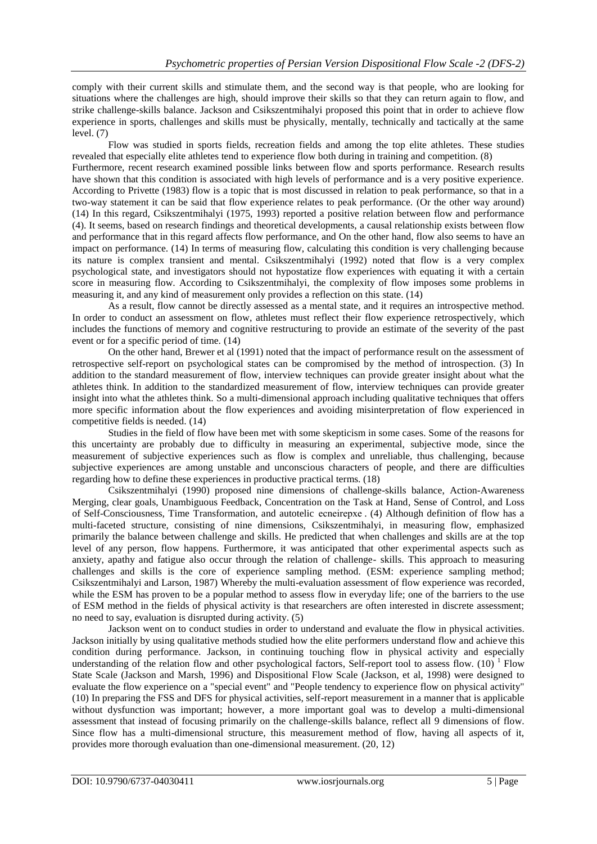comply with their current skills and stimulate them, and the second way is that people, who are looking for situations where the challenges are high, should improve their skills so that they can return again to flow, and strike challenge-skills balance. Jackson and Csikszentmihalyi proposed this point that in order to achieve flow experience in sports, challenges and skills must be physically, mentally, technically and tactically at the same level. (7)

Flow was studied in sports fields, recreation fields and among the top elite athletes. These studies revealed that especially elite athletes tend to experience flow both during in training and competition. (8) Furthermore, recent research examined possible links between flow and sports performance. Research results have shown that this condition is associated with high levels of performance and is a very positive experience. According to Privette (1983) flow is a topic that is most discussed in relation to peak performance, so that in a two-way statement it can be said that flow experience relates to peak performance. (Or the other way around) (14) In this regard, Csikszentmihalyi (1975, 1993) reported a positive relation between flow and performance (4). It seems, based on research findings and theoretical developments, a causal relationship exists between flow and performance that in this regard affects flow performance, and On the other hand, flow also seems to have an impact on performance. (14) In terms of measuring flow, calculating this condition is very challenging because its nature is complex transient and mental. Csikszentmihalyi (1992) noted that flow is a very complex psychological state, and investigators should not hypostatize flow experiences with equating it with a certain score in measuring flow. According to Csikszentmihalyi, the complexity of flow imposes some problems in measuring it, and any kind of measurement only provides a reflection on this state. (14)

As a result, flow cannot be directly assessed as a mental state, and it requires an introspective method. In order to conduct an assessment on flow, athletes must reflect their flow experience retrospectively, which includes the functions of memory and cognitive restructuring to provide an estimate of the severity of the past event or for a specific period of time. (14)

On the other hand, Brewer et al (1991) noted that the impact of performance result on the assessment of retrospective self-report on psychological states can be compromised by the method of introspection. (3) In addition to the standard measurement of flow, interview techniques can provide greater insight about what the athletes think. In addition to the standardized measurement of flow, interview techniques can provide greater insight into what the athletes think. So a multi-dimensional approach including qualitative techniques that offers more specific information about the flow experiences and avoiding misinterpretation of flow experienced in competitive fields is needed. (14)

Studies in the field of flow have been met with some skepticism in some cases. Some of the reasons for this uncertainty are probably due to difficulty in measuring an experimental, subjective mode, since the measurement of subjective experiences such as flow is complex and unreliable, thus challenging, because subjective experiences are among unstable and unconscious characters of people, and there are difficulties regarding how to define these experiences in productive practical terms. (18)

Csikszentmihalyi (1990) proposed nine dimensions of challenge-skills balance, Action-Awareness Merging, clear goals, Unambiguous Feedback, Concentration on the Task at Hand, Sense of Control, and Loss of Self-Consciousness, Time Transformation, and autotelic ecneirepxe . (4) Although definition of flow has a multi-faceted structure, consisting of nine dimensions, Csikszentmihalyi, in measuring flow, emphasized primarily the balance between challenge and skills. He predicted that when challenges and skills are at the top level of any person, flow happens. Furthermore, it was anticipated that other experimental aspects such as anxiety, apathy and fatigue also occur through the relation of challenge- skills. This approach to measuring challenges and skills is the core of experience sampling method. (ESM: experience sampling method; Csikszentmihalyi and Larson, 1987) Whereby the multi-evaluation assessment of flow experience was recorded, while the ESM has proven to be a popular method to assess flow in everyday life; one of the barriers to the use of ESM method in the fields of physical activity is that researchers are often interested in discrete assessment; no need to say, evaluation is disrupted during activity. (5)

Jackson went on to conduct studies in order to understand and evaluate the flow in physical activities. Jackson initially by using qualitative methods studied how the elite performers understand flow and achieve this condition during performance. Jackson, in continuing touching flow in physical activity and especially understanding of the relation flow and other psychological factors, Self-report tool to assess flow.  $(10)^{1}$  Flow State Scale (Jackson and Marsh, 1996) and Dispositional Flow Scale (Jackson, et al, 1998) were designed to evaluate the flow experience on a "special event" and "People tendency to experience flow on physical activity" (10) In preparing the FSS and DFS for physical activities, self-report measurement in a manner that is applicable without dysfunction was important; however, a more important goal was to develop a multi-dimensional assessment that instead of focusing primarily on the challenge-skills balance, reflect all 9 dimensions of flow. Since flow has a multi-dimensional structure, this measurement method of flow, having all aspects of it, provides more thorough evaluation than one-dimensional measurement. (20, 12)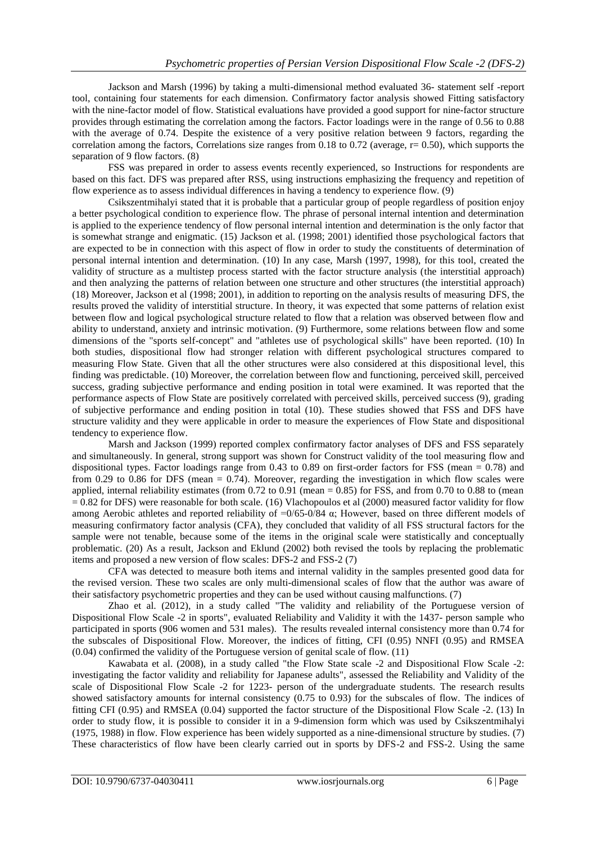Jackson and Marsh (1996) by taking a multi-dimensional method evaluated 36- statement self -report tool, containing four statements for each dimension. Confirmatory factor analysis showed Fitting satisfactory with the nine-factor model of flow. Statistical evaluations have provided a good support for nine-factor structure provides through estimating the correlation among the factors. Factor loadings were in the range of 0.56 to 0.88 with the average of 0.74. Despite the existence of a very positive relation between 9 factors, regarding the correlation among the factors, Correlations size ranges from 0.18 to 0.72 (average,  $r = 0.50$ ), which supports the separation of 9 flow factors. (8)

FSS was prepared in order to assess events recently experienced, so Instructions for respondents are based on this fact. DFS was prepared after RSS, using instructions emphasizing the frequency and repetition of flow experience as to assess individual differences in having a tendency to experience flow. (9)

Csikszentmihalyi stated that it is probable that a particular group of people regardless of position enjoy a better psychological condition to experience flow. The phrase of personal internal intention and determination is applied to the experience tendency of flow personal internal intention and determination is the only factor that is somewhat strange and enigmatic. (15) Jackson et al. (1998; 2001) identified those psychological factors that are expected to be in connection with this aspect of flow in order to study the constituents of determination of personal internal intention and determination. (10) In any case, Marsh (1997, 1998), for this tool, created the validity of structure as a multistep process started with the factor structure analysis (the interstitial approach) and then analyzing the patterns of relation between one structure and other structures (the interstitial approach) (18) Moreover, Jackson et al (1998; 2001), in addition to reporting on the analysis results of measuring DFS, the results proved the validity of interstitial structure. In theory, it was expected that some patterns of relation exist between flow and logical psychological structure related to flow that a relation was observed between flow and ability to understand, anxiety and intrinsic motivation. (9) Furthermore, some relations between flow and some dimensions of the "sports self-concept" and "athletes use of psychological skills" have been reported. (10) In both studies, dispositional flow had stronger relation with different psychological structures compared to measuring Flow State. Given that all the other structures were also considered at this dispositional level, this finding was predictable. (10) Moreover, the correlation between flow and functioning, perceived skill, perceived success, grading subjective performance and ending position in total were examined. It was reported that the performance aspects of Flow State are positively correlated with perceived skills, perceived success (9), grading of subjective performance and ending position in total (10). These studies showed that FSS and DFS have structure validity and they were applicable in order to measure the experiences of Flow State and dispositional tendency to experience flow.

Marsh and Jackson (1999) reported complex confirmatory factor analyses of DFS and FSS separately and simultaneously. In general, strong support was shown for Construct validity of the tool measuring flow and dispositional types. Factor loadings range from 0.43 to 0.89 on first-order factors for FSS (mean = 0.78) and from 0.29 to 0.86 for DFS (mean =  $0.74$ ). Moreover, regarding the investigation in which flow scales were applied, internal reliability estimates (from  $0.72$  to  $0.91$  (mean = 0.85) for FSS, and from  $0.70$  to  $0.88$  to (mean  $= 0.82$  for DFS) were reasonable for both scale. (16) Vlachopoulos et al (2000) measured factor validity for flow among Aerobic athletes and reported reliability of  $=0/65-0/84$   $\alpha$ ; However, based on three different models of measuring confirmatory factor analysis (CFA), they concluded that validity of all FSS structural factors for the sample were not tenable, because some of the items in the original scale were statistically and conceptually problematic. (20) As a result, Jackson and Eklund (2002) both revised the tools by replacing the problematic items and proposed a new version of flow scales: DFS-2 and FSS-2 (7)

CFA was detected to measure both items and internal validity in the samples presented good data for the revised version. These two scales are only multi-dimensional scales of flow that the author was aware of their satisfactory psychometric properties and they can be used without causing malfunctions. (7)

Zhao et al. (2012), in a study called "The validity and reliability of the Portuguese version of Dispositional Flow Scale -2 in sports", evaluated Reliability and Validity it with the 1437- person sample who participated in sports (906 women and 531 males). The results revealed internal consistency more than 0.74 for the subscales of Dispositional Flow. Moreover, the indices of fitting, CFI (0.95) NNFI (0.95) and RMSEA (0.04) confirmed the validity of the Portuguese version of genital scale of flow. (11)

Kawabata et al. (2008), in a study called "the Flow State scale -2 and Dispositional Flow Scale -2: investigating the factor validity and reliability for Japanese adults", assessed the Reliability and Validity of the scale of Dispositional Flow Scale -2 for 1223- person of the undergraduate students. The research results showed satisfactory amounts for internal consistency (0.75 to 0.93) for the subscales of flow. The indices of fitting CFI (0.95) and RMSEA (0.04) supported the factor structure of the Dispositional Flow Scale -2. (13) In order to study flow, it is possible to consider it in a 9-dimension form which was used by Csikszentmihalyi (1975, 1988) in flow. Flow experience has been widely supported as a nine-dimensional structure by studies. (7) These characteristics of flow have been clearly carried out in sports by DFS-2 and FSS-2. Using the same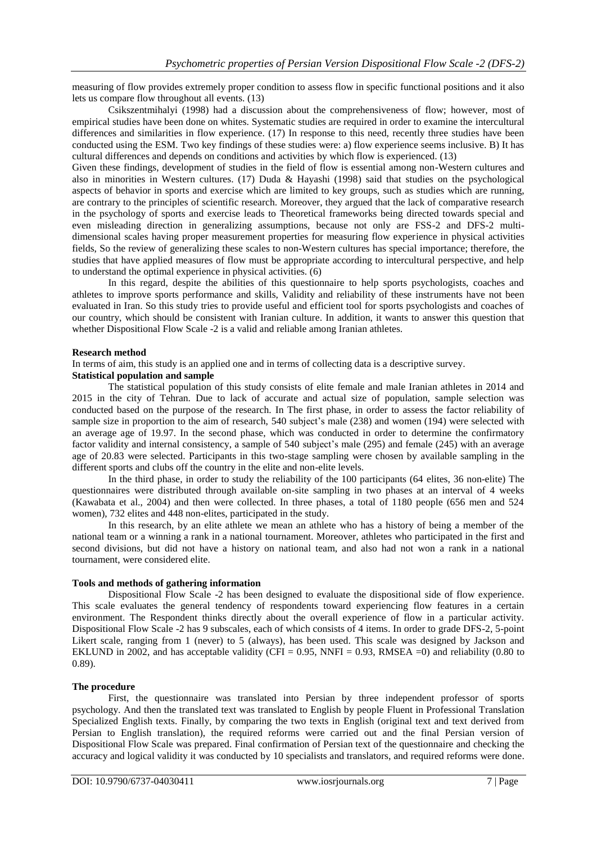measuring of flow provides extremely proper condition to assess flow in specific functional positions and it also lets us compare flow throughout all events. (13)

Csikszentmihalyi (1998) had a discussion about the comprehensiveness of flow; however, most of empirical studies have been done on whites. Systematic studies are required in order to examine the intercultural differences and similarities in flow experience. (17) In response to this need, recently three studies have been conducted using the ESM. Two key findings of these studies were: a) flow experience seems inclusive. B) It has cultural differences and depends on conditions and activities by which flow is experienced. (13)

Given these findings, development of studies in the field of flow is essential among non-Western cultures and also in minorities in Western cultures. (17) Duda & Hayashi (1998) said that studies on the psychological aspects of behavior in sports and exercise which are limited to key groups, such as studies which are running, are contrary to the principles of scientific research. Moreover, they argued that the lack of comparative research in the psychology of sports and exercise leads to Theoretical frameworks being directed towards special and even misleading direction in generalizing assumptions, because not only are FSS-2 and DFS-2 multidimensional scales having proper measurement properties for measuring flow experience in physical activities fields, So the review of generalizing these scales to non-Western cultures has special importance; therefore, the studies that have applied measures of flow must be appropriate according to intercultural perspective, and help to understand the optimal experience in physical activities. (6)

In this regard, despite the abilities of this questionnaire to help sports psychologists, coaches and athletes to improve sports performance and skills, Validity and reliability of these instruments have not been evaluated in Iran. So this study tries to provide useful and efficient tool for sports psychologists and coaches of our country, which should be consistent with Iranian culture. In addition, it wants to answer this question that whether Dispositional Flow Scale -2 is a valid and reliable among Iranian athletes.

## **Research method**

In terms of aim, this study is an applied one and in terms of collecting data is a descriptive survey.

## **Statistical population and sample**

The statistical population of this study consists of elite female and male Iranian athletes in 2014 and 2015 in the city of Tehran. Due to lack of accurate and actual size of population, sample selection was conducted based on the purpose of the research. In The first phase, in order to assess the factor reliability of sample size in proportion to the aim of research, 540 subject's male (238) and women (194) were selected with an average age of 19.97. In the second phase, which was conducted in order to determine the confirmatory factor validity and internal consistency, a sample of 540 subject's male (295) and female (245) with an average age of 20.83 were selected. Participants in this two-stage sampling were chosen by available sampling in the different sports and clubs off the country in the elite and non-elite levels.

In the third phase, in order to study the reliability of the 100 participants (64 elites, 36 non-elite) The questionnaires were distributed through available on-site sampling in two phases at an interval of 4 weeks (Kawabata et al., 2004) and then were collected. In three phases, a total of 1180 people (656 men and 524 women), 732 elites and 448 non-elites, participated in the study.

In this research, by an elite athlete we mean an athlete who has a history of being a member of the national team or a winning a rank in a national tournament. Moreover, athletes who participated in the first and second divisions, but did not have a history on national team, and also had not won a rank in a national tournament, were considered elite.

# **Tools and methods of gathering information**

Dispositional Flow Scale -2 has been designed to evaluate the dispositional side of flow experience. This scale evaluates the general tendency of respondents toward experiencing flow features in a certain environment. The Respondent thinks directly about the overall experience of flow in a particular activity. Dispositional Flow Scale -2 has 9 subscales, each of which consists of 4 items. In order to grade DFS-2, 5-point Likert scale, ranging from 1 (never) to 5 (always), has been used. This scale was designed by Jackson and EKLUND in 2002, and has acceptable validity (CFI = 0.95, NNFI = 0.93, RMSEA = 0) and reliability (0.80 to 0.89).

## **The procedure**

First, the questionnaire was translated into Persian by three independent professor of sports psychology. And then the translated text was translated to English by people Fluent in Professional Translation Specialized English texts. Finally, by comparing the two texts in English (original text and text derived from Persian to English translation), the required reforms were carried out and the final Persian version of Dispositional Flow Scale was prepared. Final confirmation of Persian text of the questionnaire and checking the accuracy and logical validity it was conducted by 10 specialists and translators, and required reforms were done.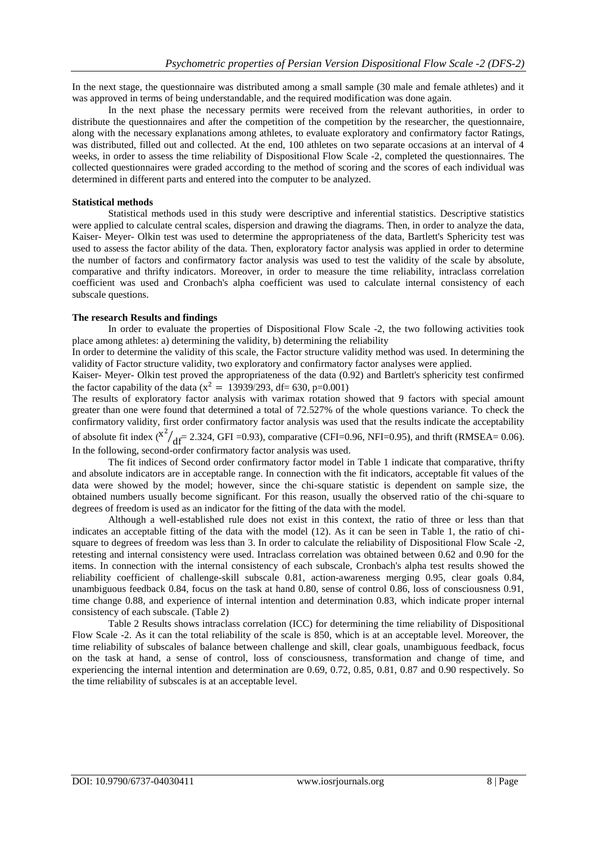In the next stage, the questionnaire was distributed among a small sample (30 male and female athletes) and it was approved in terms of being understandable, and the required modification was done again.

In the next phase the necessary permits were received from the relevant authorities, in order to distribute the questionnaires and after the competition of the competition by the researcher, the questionnaire, along with the necessary explanations among athletes, to evaluate exploratory and confirmatory factor Ratings, was distributed, filled out and collected. At the end, 100 athletes on two separate occasions at an interval of 4 weeks, in order to assess the time reliability of Dispositional Flow Scale -2, completed the questionnaires. The collected questionnaires were graded according to the method of scoring and the scores of each individual was determined in different parts and entered into the computer to be analyzed.

#### **Statistical methods**

Statistical methods used in this study were descriptive and inferential statistics. Descriptive statistics were applied to calculate central scales, dispersion and drawing the diagrams. Then, in order to analyze the data, Kaiser- Meyer- Olkin test was used to determine the appropriateness of the data, Bartlett's Sphericity test was used to assess the factor ability of the data. Then, exploratory factor analysis was applied in order to determine the number of factors and confirmatory factor analysis was used to test the validity of the scale by absolute, comparative and thrifty indicators. Moreover, in order to measure the time reliability, intraclass correlation coefficient was used and Cronbach's alpha coefficient was used to calculate internal consistency of each subscale questions.

#### **The research Results and findings**

In order to evaluate the properties of Dispositional Flow Scale -2, the two following activities took place among athletes: a) determining the validity, b) determining the reliability

In order to determine the validity of this scale, the Factor structure validity method was used. In determining the validity of Factor structure validity, two exploratory and confirmatory factor analyses were applied.

Kaiser- Meyer- Olkin test proved the appropriateness of the data (0.92) and Bartlett's sphericity test confirmed the factor capability of the data ( $x^2 = 13939/293$ , df= 630, p=0.001)

The results of exploratory factor analysis with varimax rotation showed that 9 factors with special amount greater than one were found that determined a total of 72.527% of the whole questions variance. To check the confirmatory validity, first order confirmatory factor analysis was used that the results indicate the acceptability of absolute fit index  $\left(\frac{x^2}{df} - 2.324, \text{GFI} = 0.93\right)$ , comparative (CFI=0.96, NFI=0.95), and thrift (RMSEA= 0.06). In the following, second-order confirmatory factor analysis was used.

The fit indices of Second order confirmatory factor model in Table 1 indicate that comparative, thrifty and absolute indicators are in acceptable range. In connection with the fit indicators, acceptable fit values of the data were showed by the model; however, since the chi-square statistic is dependent on sample size, the obtained numbers usually become significant. For this reason, usually the observed ratio of the chi-square to degrees of freedom is used as an indicator for the fitting of the data with the model.

Although a well-established rule does not exist in this context, the ratio of three or less than that indicates an acceptable fitting of the data with the model (12). As it can be seen in Table 1, the ratio of chisquare to degrees of freedom was less than 3. In order to calculate the reliability of Dispositional Flow Scale -2, retesting and internal consistency were used. Intraclass correlation was obtained between 0.62 and 0.90 for the items. In connection with the internal consistency of each subscale, Cronbach's alpha test results showed the reliability coefficient of challenge-skill subscale 0.81, action-awareness merging 0.95, clear goals 0.84, unambiguous feedback 0.84, focus on the task at hand 0.80, sense of control 0.86, loss of consciousness 0.91, time change 0.88, and experience of internal intention and determination 0.83, which indicate proper internal consistency of each subscale. (Table 2)

Table 2 Results shows intraclass correlation (ICC) for determining the time reliability of Dispositional Flow Scale -2. As it can the total reliability of the scale is 850, which is at an acceptable level. Moreover, the time reliability of subscales of balance between challenge and skill, clear goals, unambiguous feedback, focus on the task at hand, a sense of control, loss of consciousness, transformation and change of time, and experiencing the internal intention and determination are 0.69, 0.72, 0.85, 0.81, 0.87 and 0.90 respectively. So the time reliability of subscales is at an acceptable level.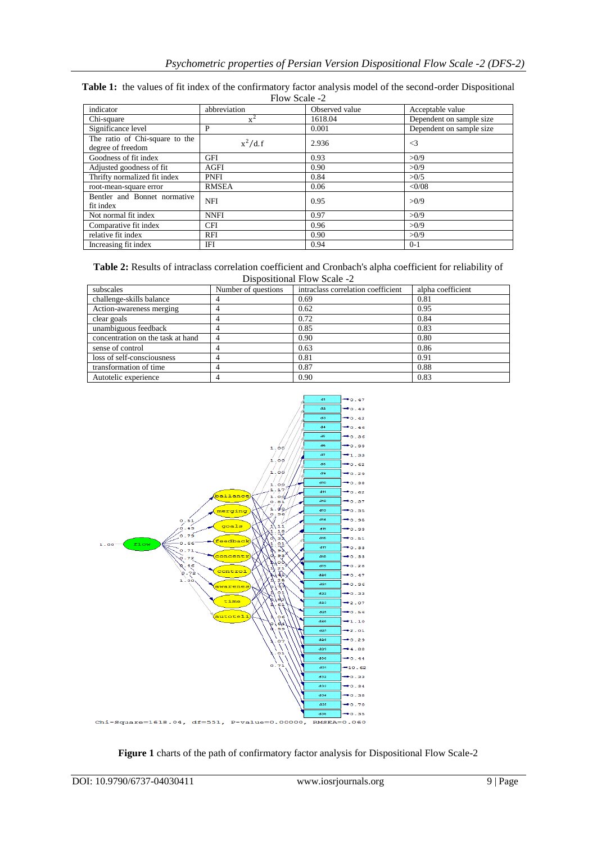| Flow Scale -2                                       |              |                |                          |  |  |
|-----------------------------------------------------|--------------|----------------|--------------------------|--|--|
| indicator                                           | abbreviation | Observed value | Acceptable value         |  |  |
| Chi-square                                          | $x^2$        | 1618.04        | Dependent on sample size |  |  |
| Significance level                                  | P            | 0.001          | Dependent on sample size |  |  |
| The ratio of Chi-square to the<br>degree of freedom | $x^2/d. f$   | 2.936          | $\leq$ 3                 |  |  |
| Goodness of fit index                               | <b>GFI</b>   | 0.93           | >0/9                     |  |  |
| Adjusted goodness of fit                            | <b>AGFI</b>  | 0.90           | >0/9                     |  |  |
| Thrifty normalized fit index                        | <b>PNFI</b>  | 0.84           | >0/5                     |  |  |
| root-mean-square error                              | <b>RMSEA</b> | 0.06           | <0/08                    |  |  |
| Bentler and Bonnet normative<br>fit index           | <b>NFI</b>   | 0.95           | >0/9                     |  |  |
| Not normal fit index                                | <b>NNFI</b>  | 0.97           | >0/9                     |  |  |
| Comparative fit index                               | <b>CFI</b>   | 0.96           | >0/9                     |  |  |
| relative fit index                                  | <b>RFI</b>   | 0.90           | >0/9                     |  |  |
| Increasing fit index                                | IFI          | 0.94           | $0-1$                    |  |  |

| Table 1: the values of fit index of the confirmatory factor analysis model of the second-order Dispositional |               |  |  |
|--------------------------------------------------------------------------------------------------------------|---------------|--|--|
|                                                                                                              | Flow Scale -2 |  |  |

| <b>Table 2:</b> Results of intraclass correlation coefficient and Cronbach's alpha coefficient for reliability of |
|-------------------------------------------------------------------------------------------------------------------|
| Dispositional Flow Scale -2                                                                                       |

| subscales                         | Number of questions | intraclass correlation coefficient | alpha coefficient |
|-----------------------------------|---------------------|------------------------------------|-------------------|
| challenge-skills balance          |                     | 0.69                               | 0.81              |
| Action-awareness merging          |                     | 0.62                               | 0.95              |
| clear goals                       |                     | 0.72                               | 0.84              |
| unambiguous feedback              |                     | 0.85                               | 0.83              |
| concentration on the task at hand |                     | 0.90                               | 0.80              |
| sense of control                  |                     | 0.63                               | 0.86              |
| loss of self-consciousness        |                     | 0.81                               | 0.91              |
| transformation of time            |                     | 0.87                               | 0.88              |
| Autotelic experience              |                     | 0.90                               | 0.83              |



**Figure 1** charts of the path of confirmatory factor analysis for Dispositional Flow Scale-2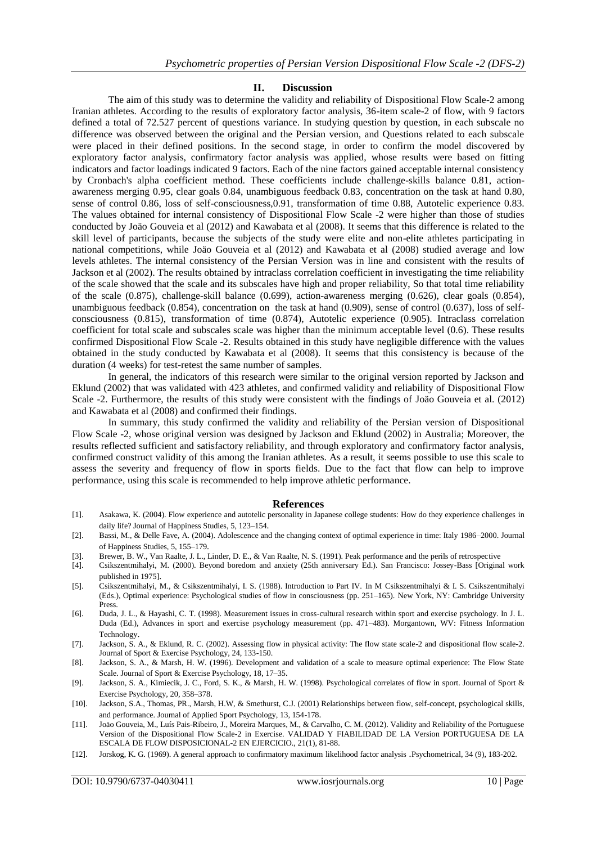## **II. Discussion**

The aim of this study was to determine the validity and reliability of Dispositional Flow Scale-2 among Iranian athletes. According to the results of exploratory factor analysis, 36-item scale-2 of flow, with 9 factors defined a total of 72.527 percent of questions variance. In studying question by question, in each subscale no difference was observed between the original and the Persian version, and Questions related to each subscale were placed in their defined positions. In the second stage, in order to confirm the model discovered by exploratory factor analysis, confirmatory factor analysis was applied, whose results were based on fitting indicators and factor loadings indicated 9 factors. Each of the nine factors gained acceptable internal consistency by Cronbach's alpha coefficient method. These coefficients include challenge-skills balance 0.81, actionawareness merging 0.95, clear goals 0.84, unambiguous feedback 0.83, concentration on the task at hand 0.80, sense of control 0.86, loss of self-consciousness,0.91, transformation of time 0.88, Autotelic experience 0.83. The values obtained for internal consistency of Dispositional Flow Scale -2 were higher than those of studies conducted by Joäo Gouveia et al (2012) and Kawabata et al (2008). It seems that this difference is related to the skill level of participants, because the subjects of the study were elite and non-elite athletes participating in national competitions, while Joäo Gouveia et al (2012) and Kawabata et al (2008) studied average and low levels athletes. The internal consistency of the Persian Version was in line and consistent with the results of Jackson et al (2002). The results obtained by intraclass correlation coefficient in investigating the time reliability of the scale showed that the scale and its subscales have high and proper reliability, So that total time reliability of the scale (0.875), challenge-skill balance (0.699), action-awareness merging (0.626), clear goals (0.854), unambiguous feedback (0.854), concentration on the task at hand (0.909), sense of control (0.637), loss of selfconsciousness (0.815), transformation of time (0.874), Autotelic experience (0.905). Intraclass correlation coefficient for total scale and subscales scale was higher than the minimum acceptable level (0.6). These results confirmed Dispositional Flow Scale -2. Results obtained in this study have negligible difference with the values obtained in the study conducted by Kawabata et al (2008). It seems that this consistency is because of the duration (4 weeks) for test-retest the same number of samples.

In general, the indicators of this research were similar to the original version reported by Jackson and Eklund (2002) that was validated with 423 athletes, and confirmed validity and reliability of Dispositional Flow Scale -2. Furthermore, the results of this study were consistent with the findings of Joäo Gouveia et al. (2012) and Kawabata et al (2008) and confirmed their findings.

In summary, this study confirmed the validity and reliability of the Persian version of Dispositional Flow Scale -2, whose original version was designed by Jackson and Eklund (2002) in Australia; Moreover, the results reflected sufficient and satisfactory reliability, and through exploratory and confirmatory factor analysis, confirmed construct validity of this among the Iranian athletes. As a result, it seems possible to use this scale to assess the severity and frequency of flow in sports fields. Due to the fact that flow can help to improve performance, using this scale is recommended to help improve athletic performance.

#### **References**

- [1]. Asakawa, K. (2004). Flow experience and autotelic personality in Japanese college students: How do they experience challenges in daily life? Journal of Happiness Studies, 5, 123–154.
- [2]. Bassi, M., & Delle Fave, A. (2004). Adolescence and the changing context of optimal experience in time: Italy 1986–2000. Journal of Happiness Studies, 5, 155–179.
- 
- [3]. Brewer, B. W., Van Raalte, J. L., Linder, D. E., & Van Raalte, N. S. (1991). Peak performance and the perils of retrospective [4]. Csikszentmihalyi, M. (2000). Beyond boredom and anxiety (25th anniversary Ed.). San Fr [4]. Csikszentmihalyi, M. (2000). Beyond boredom and anxiety (25th anniversary Ed.). San Francisco: Jossey-Bass [Original work published in 1975].
- [5]. Csikszentmihalyi, M., & Csikszentmihalyi, I. S. (1988). Introduction to Part IV. In M Csikszentmihalyi & I. S. Csikszentmihalyi (Eds.), Optimal experience: Psychological studies of flow in consciousness (pp. 251–165). New York, NY: Cambridge University Press.
- [6]. Duda, J. L., & Hayashi, C. T. (1998). Measurement issues in cross-cultural research within sport and exercise psychology. In J. L. Duda (Ed.), Advances in sport and exercise psychology measurement (pp. 471–483). Morgantown, WV: Fitness Information Technology.
- [7]. Jackson, S. A., & Eklund, R. C. (2002). Assessing flow in physical activity: The flow state scale-2 and dispositional flow scale-2. Journal of Sport & Exercise Psychology, 24, 133-150.
- [8]. Jackson, S. A., & Marsh, H. W. (1996). Development and validation of a scale to measure optimal experience: The Flow State Scale. Journal of Sport & Exercise Psychology, 18, 17–35.
- [9]. Jackson, S. A., Kimiecik, J. C., Ford, S. K., & Marsh, H. W. (1998). Psychological correlates of flow in sport. Journal of Sport & Exercise Psychology, 20, 358–378.
- [10]. Jackson, S.A., Thomas, PR., Marsh, H.W, & Smethurst, C.J. (2001) Relationships between flow, self-concept, psychological skills, and performance. Journal of Applied Sport Psychology, 13, 154-178.
- [11]. Joäo Gouveia, M., Luís Pais-Ribeiro, J., Moreira Marques, M., & Carvalho, C. M. (2012). Validity and Reliability of the Portuguese Version of the Dispositional Flow Scale-2 in Exercise. VALIDAD Y FIABILIDAD DE LA Version PORTUGUESA DE LA ESCALA DE FLOW DISPOSICIONAL-2 EN EJERCICIO., 21(1), 81-88.
- [12]. Jorskog, K. G. (1969). A general approach to confirmatory maximum likelihood factor analysis .Psychometrical, 34 (9), 183-202.